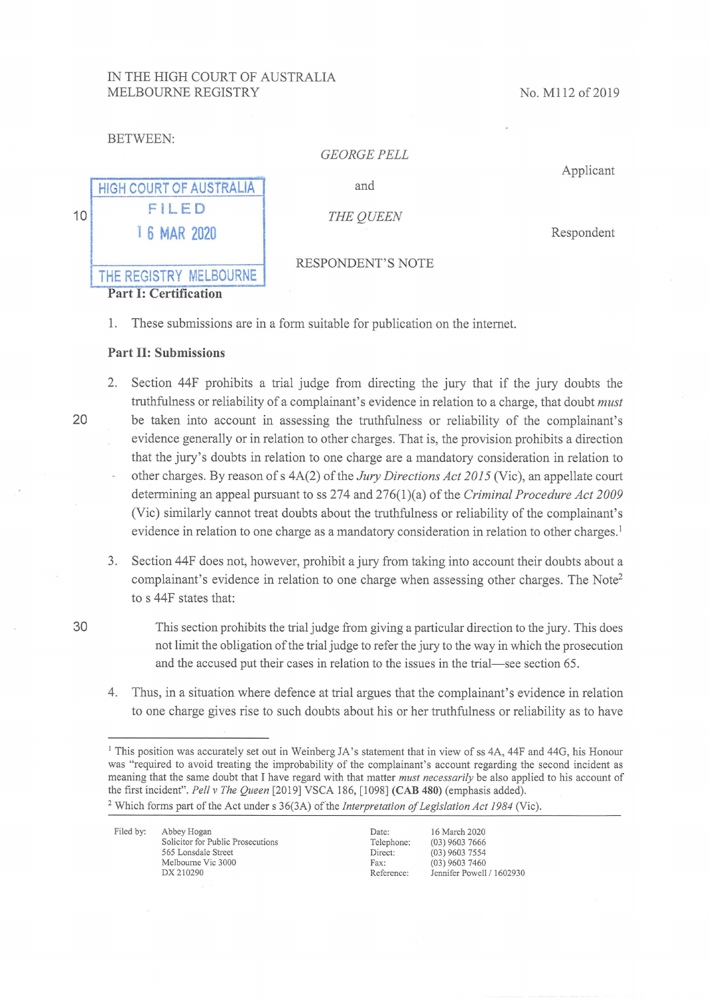## IN THE HIGH COURT OF AUSTRALIA MELBOURNE REGISTRY

No. M112 of 2019

| BETWEEN: |  |
|----------|--|
|          |  |

## GEORGE FELL

Applicant

|    | <b>HIGH COURT OF AUSTRALIA</b> |  |  |  |
|----|--------------------------------|--|--|--|
| 10 | FILED                          |  |  |  |
|    | 1 6 MAR 2020                   |  |  |  |
|    | THE REGISTRY MELBOURNE         |  |  |  |

and

THE QUEEN

Respondent

## RESPONDENT'S NOTE

- Part I: Certification
- 1. These submissions are in a form suitable for publication on the internet.

## Part 11: Submissions

- 2. Section 44F prohibits a trial judge from directing the jary that if the jury doubts the truthfulness or reliability of a complainant's evidence in relation to a charge, that doubt *must* be taken into account in assessing the truthfulness or reliability of the complainant's evidence generally or in relation to other charges. That is, the provision prohibits a direction that the jury's doubts in relation to one charge are a mandatory consideration in relation to other charges. By reason of s  $4A(2)$  of the *Jury Directions Act 2015* (Vic), an appellate court determining an appeal pursuant to ss  $274$  and  $276(1)(a)$  of the *Criminal Procedure Act* 2009 (Vic) similarly cannot treat doubts about the truthfulness or reliability of the complainant's evidence in relation to one charge as a mandatory consideration in relation to other charges. '
- 3. Section 44F does not, however, prohibit ajury from taking into account their doubts about a complainant's evidence in relation to one charge when assessing other charges. The Note' to s 44F states that:
- 30

20

This section prohibits the trial judge from giving a particular direction to the jury. This does not limit the obligation of the trial judge to refer the jury to the way in which the prosecution and the accused put their cases in relation to the issues in the trial-see section 65.

Thus, in a situation where defence at trial argues that the complainant's evidence in relation 4. to one charge gives rise to such doubts about his or her truthfulness or reliability as to have

<sup>&</sup>lt;sup>1</sup> This position was accurately set out in Weinberg JA's statement that in view of ss 4A, 44F and 44G, his Honour was "required to avoid treating the improbability of the complainant's account regarding the second incident as meaning that the same doubt that I have regard with that matter *must necessarily* be also applied to his account of the first incident". Pell v The Queen [2019] VSCA 186, [1098] (CAB 480) (emphasis added). <sup>2</sup> Which forms part of the Act under s  $36(3A)$  of the *Interpretation of Legislation Act 1984* (Vic).

| Filed by: | Abbey Hogan                       | Date:      | 16 March 2020             |
|-----------|-----------------------------------|------------|---------------------------|
|           | Solicitor for Public Prosecutions | Telephone: | $(03)$ 9603 7666          |
|           | 565 Lonsdale Street               | Direct:    | $(03)$ 9603 7554          |
|           | Melbourne Vic 3000                | Fax:       | $(03)$ 9603 7460          |
|           | DX 210290                         | Reference: | Jennifer Powell / 1602930 |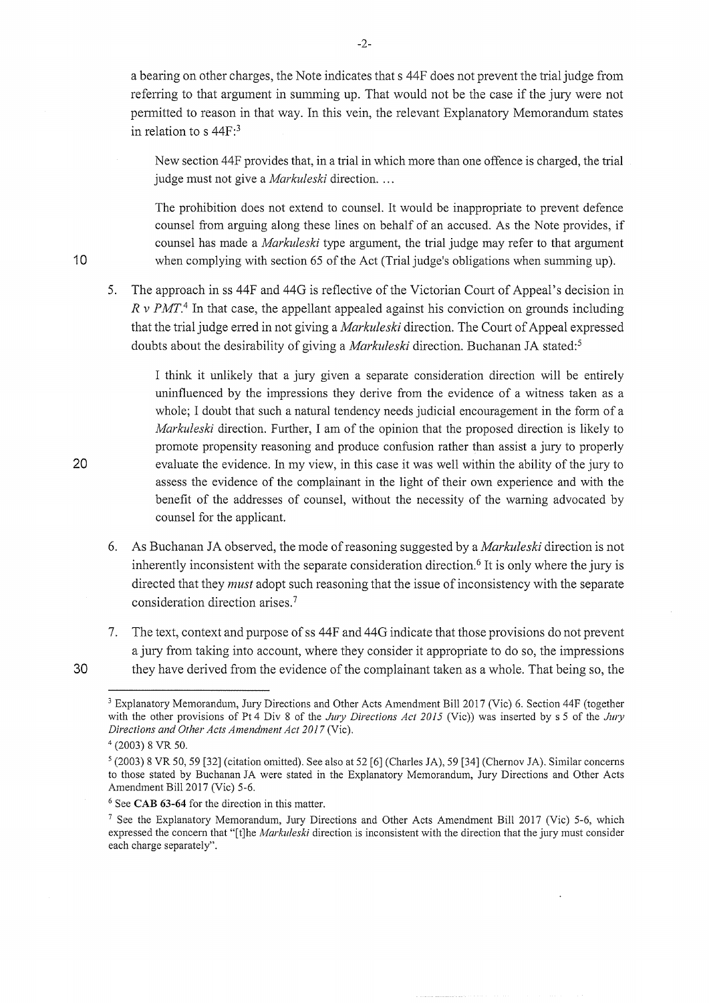a bearing on other charges, the Note indicates that s 44F does not prevent the trial judge from referring to that argument in summing up. That would not be the case if the jury were not pennitted to reason in that way. In this vein, the relevant Explanatory Memorandum states in relation to s 44F:3

New section 44F provides that, in a trial in which more than one offence is charged, the trial judge must not give a *Markuleski* direction. ...

The prohibition does not extend to counsel. It would be inappropriate to prevent defence counsel from arguing along these lines on behalf of an accused. As the Note provides, if counsel has made a *Markuleski* type argument, the trial judge may refer to that argument when complying with section 65 of the Act (Trial judge's obligations when summing up).

5. The approach in ss 44F and 44G is reflective of the Victorian Court of Appeal's decision in  $R \text{ v } PMT$ <sup>4</sup>. In that case, the appellant appealed against his conviction on grounds including that the trial judge erred in not giving a *Markuleski* direction. The Court of Appeal expressed doubts about the desirability of giving a *Markuleski* direction. Buchanan JA stated:<sup>5</sup>

I think it unlikely that a jury given a separate consideration direction will be entirely runnfluenced by the impressions they derive from the evidence of a witness taken as a whole; I doubt that such a natural tendency needs judicial encouragement in the form of a Markuleski direction. Further, I am of the opinion that the proposed direction is likely to promote propensity reasoning and produce confusion rather than assist a jury to properly evaluate the evidence. in my view, in this case it was well within the ability of the jury to assess the evidence of the complainant in the light of their own experience and with the benefit of the addresses of counsel, without the necessity of the warning advocated by counsel for the applicant.

- 6. As Buchanan JA observed, the mode of reasoning suggested by a *Markuleski* direction is not inherently inconsistent with the separate consideration direction.<sup>6</sup> It is only where the jury is directed that they *must* adopt such reasoning that the issue of inconsistency with the separate consideration direction arises. 7
- 7. The text, context and purpose of ss 44F and 44G indicate that those provisions do not prevent ajury from taking into account, where they consider it appropriate to do so, the impressions they have derived from the evidence of the complainant taken as a whole. That being so, the

 $-2-$ 

20

30

10

<sup>&</sup>lt;sup>3</sup> Explanatory Memorandum, Jury Directions and Other Acts Amendment Bill 2017 (Vic) 6. Section 44F (together with the other provisions of Pt 4 Div 8 of the Jury Directions Act 2015 (Vic)) was inserted by s 5 of the Jury Directions and Other Acts Amendment Act 2017 (Vic).

<sup>4 (2003) 8</sup> VR 50.

 $\frac{1}{2}$  (2003) 8 VR 50, 59 [32] (citation omitted). See also at 52 [6] (Charles JA), 59 [34] (Chernov JA). Similar concerns to those stated by Buchanan JA were stated in the Explanatory Memorandum, Jury Directions and Other Acts Amendment Bill 2017 (Vic) 5-6

 $6$  See CAB 63-64 for the direction in this matter.

<sup>&</sup>lt;sup>7</sup> See the Explanatory Memorandum, Jury Directions and Other Acts Amendment Bill 2017 (Vic) 5-6, which expressed the concern that "[t]he Markuleski direction is inconsistent with the direction that the jury must consider each charge separately".